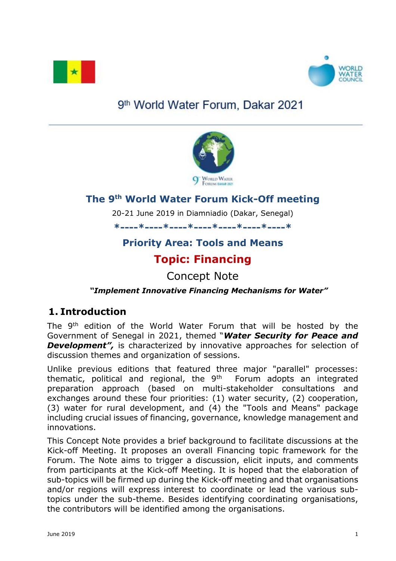



# 9<sup>th</sup> World Water Forum, Dakar 2021



## **The 9th World Water Forum Kick-Off meeting**

20-21 June 2019 in Diamniadio (Dakar, Senegal)

**\*----\*----\*----\*----\*----\*----\*----\***

# **Priority Area: Tools and Means Topic: Financing**

Concept Note

### *"Implement Innovative Financing Mechanisms for Water"*

## **1. Introduction**

The 9<sup>th</sup> edition of the World Water Forum that will be hosted by the Government of Senegal in 2021, themed "*Water Security for Peace and*  **Development**", is characterized by innovative approaches for selection of discussion themes and organization of sessions.

Unlike previous editions that featured three major "parallel" processes: thematic, political and regional, the  $9<sup>th</sup>$  Forum adopts an integrated preparation approach (based on multi-stakeholder consultations and exchanges around these four priorities: (1) water security, (2) cooperation, (3) water for rural development, and (4) the "Tools and Means" package including crucial issues of financing, governance, knowledge management and innovations.

This Concept Note provides a brief background to facilitate discussions at the Kick-off Meeting. It proposes an overall Financing topic framework for the Forum. The Note aims to trigger a discussion, elicit inputs, and comments from participants at the Kick-off Meeting. It is hoped that the elaboration of sub-topics will be firmed up during the Kick-off meeting and that organisations and/or regions will express interest to coordinate or lead the various subtopics under the sub-theme. Besides identifying coordinating organisations, the contributors will be identified among the organisations.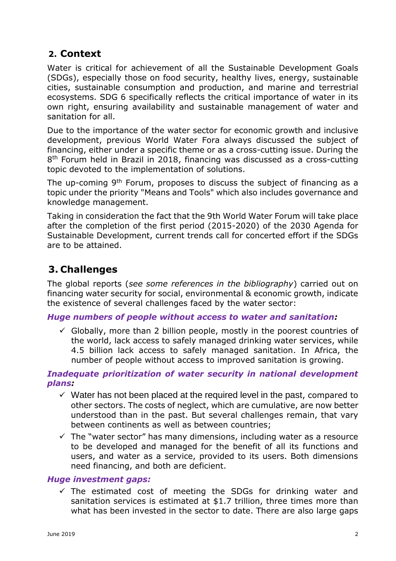### **2. Context**

Water is critical for achievement of all the Sustainable Development Goals (SDGs), especially those on food security, healthy lives, energy, sustainable cities, sustainable consumption and production, and marine and terrestrial ecosystems. SDG 6 specifically reflects the critical importance of water in its own right, ensuring availability and sustainable management of water and sanitation for all.

Due to the importance of the water sector for economic growth and inclusive development, previous World Water Fora always discussed the subject of financing, either under a specific theme or as a cross-cutting issue. During the 8 th Forum held in Brazil in 2018, financing was discussed as a cross-cutting topic devoted to the implementation of solutions.

The up-coming 9<sup>th</sup> Forum, proposes to discuss the subject of financing as a topic under the priority "Means and Tools" which also includes governance and knowledge management.

Taking in consideration the fact that the 9th World Water Forum will take place after the completion of the first period (2015-2020) of the 2030 Agenda for Sustainable Development, current trends call for concerted effort if the SDGs are to be attained.

### **3. Challenges**

The global reports (*see some references in the bibliography*) carried out on financing water security for social, environmental & economic growth, indicate the existence of several challenges faced by the water sector:

#### *Huge numbers of people without access to water and sanitation:*

 $\checkmark$  Globally, more than 2 billion people, mostly in the poorest countries of the world, lack access to safely managed drinking water services, while 4.5 billion lack access to safely managed sanitation. In Africa, the number of people without access to improved sanitation is growing.

#### *Inadequate prioritization of water security in national development plans:*

- $\checkmark$  Water has not been placed at the required level in the past, compared to other sectors. The costs of neglect, which are cumulative, are now better understood than in the past. But several challenges remain, that vary between continents as well as between countries;
- $\checkmark$  The "water sector" has many dimensions, including water as a resource to be developed and managed for the benefit of all its functions and users, and water as a service, provided to its users. Both dimensions need financing, and both are deficient.

#### *Huge investment gaps:*

 $\checkmark$  The estimated cost of meeting the SDGs for drinking water and sanitation services is estimated at \$1.7 trillion, three times more than what has been invested in the sector to date. There are also large gaps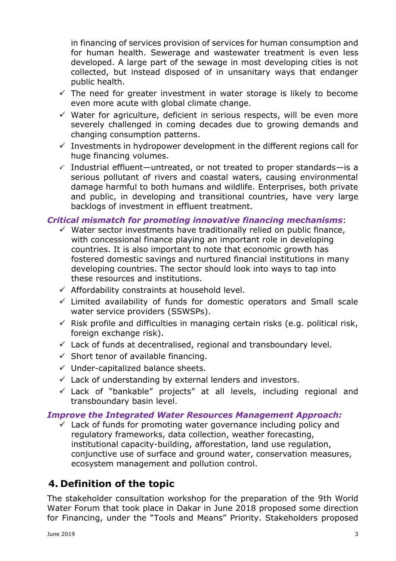in financing of services provision of services for human consumption and for human health. Sewerage and wastewater treatment is even less developed. A large part of the sewage in most developing cities is not collected, but instead disposed of in unsanitary ways that endanger public health.

- $\checkmark$  The need for greater investment in water storage is likely to become even more acute with global climate change.
- $\checkmark$  Water for agriculture, deficient in serious respects, will be even more severely challenged in coming decades due to growing demands and changing consumption patterns.
- $\checkmark$  Investments in hydropower development in the different regions call for huge financing volumes.
- $\checkmark$  Industrial effluent—untreated, or not treated to proper standards—is a serious pollutant of rivers and coastal waters, causing environmental damage harmful to both humans and wildlife. Enterprises, both private and public, in developing and transitional countries, have very large backlogs of investment in effluent treatment.

### *Critical mismatch for promoting innovative financing mechanisms*:

- $\checkmark$  Water sector investments have traditionally relied on public finance, with concessional finance playing an important role in developing countries. It is also important to note that economic growth has fostered domestic savings and nurtured financial institutions in many developing countries. The sector should look into ways to tap into these resources and institutions.
- $\checkmark$  Affordability constraints at household level.
- $\checkmark$  Limited availability of funds for domestic operators and Small scale water service providers (SSWSPs).
- $\checkmark$  Risk profile and difficulties in managing certain risks (e.g. political risk, foreign exchange risk).
- $\checkmark$  Lack of funds at decentralised, regional and transboundary level.
- $\checkmark$  Short tenor of available financing.
- $\checkmark$  Under-capitalized balance sheets.
- $\checkmark$  Lack of understanding by external lenders and investors.
- $\checkmark$  Lack of "bankable" projects" at all levels, including regional and transboundary basin level.

#### *Improve the Integrated Water Resources Management Approach:*

 $\checkmark$  Lack of funds for promoting water governance including policy and regulatory frameworks, data collection, weather forecasting, institutional capacity-building, afforestation, land use regulation, conjunctive use of surface and ground water, conservation measures, ecosystem management and pollution control.

## **4. Definition of the topic**

The stakeholder consultation workshop for the preparation of the 9th World Water Forum that took place in Dakar in June 2018 proposed some direction for Financing, under the "Tools and Means" Priority. Stakeholders proposed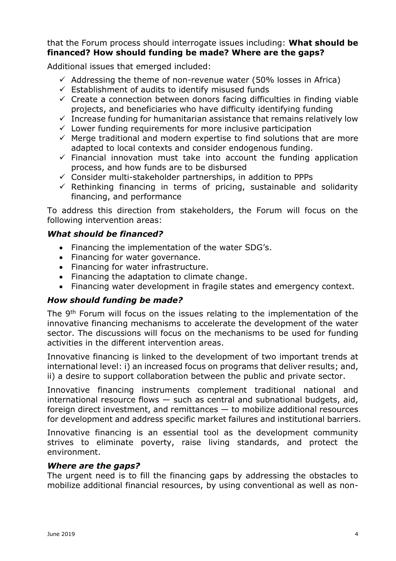#### that the Forum process should interrogate issues including: **What should be financed? How should funding be made? Where are the gaps?**

Additional issues that emerged included:

- $\checkmark$  Addressing the theme of non-revenue water (50% losses in Africa)
- $\checkmark$  Establishment of audits to identify misused funds
- $\checkmark$  Create a connection between donors facing difficulties in finding viable projects, and beneficiaries who have difficulty identifying funding
- $\checkmark$  Increase funding for humanitarian assistance that remains relatively low
- $\checkmark$  Lower funding requirements for more inclusive participation
- $\checkmark$  Merge traditional and modern expertise to find solutions that are more adapted to local contexts and consider endogenous funding.
- $\checkmark$  Financial innovation must take into account the funding application process, and how funds are to be disbursed
- $\checkmark$  Consider multi-stakeholder partnerships, in addition to PPPs
- $\checkmark$  Rethinking financing in terms of pricing, sustainable and solidarity financing, and performance

To address this direction from stakeholders, the Forum will focus on the following intervention areas:

### *What should be financed?*

- Financing the implementation of the water SDG's.
- Financing for water governance.
- Financing for water infrastructure.
- Financing the adaptation to climate change.
- Financing water development in fragile states and emergency context.

#### *How should funding be made?*

The 9<sup>th</sup> Forum will focus on the issues relating to the implementation of the innovative financing mechanisms to accelerate the development of the water sector. The discussions will focus on the mechanisms to be used for funding activities in the different intervention areas.

Innovative financing is linked to the development of two important trends at international level: i) an increased focus on programs that deliver results; and, ii) a desire to support collaboration between the public and private sector.

Innovative financing instruments complement traditional national and international resource flows — such as central and subnational budgets, aid, foreign direct investment, and remittances — to mobilize additional resources for development and address specific market failures and institutional barriers.

Innovative financing is an essential tool as the development community strives to eliminate poverty, raise living standards, and protect the environment.

#### *Where are the gaps?*

The urgent need is to fill the financing gaps by addressing the obstacles to mobilize additional financial resources, by using conventional as well as non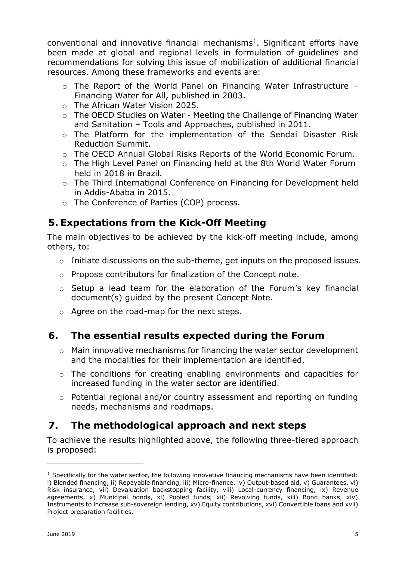conventional and innovative financial mechanisms<sup>1</sup>. Significant efforts have been made at global and regional levels in formulation of guidelines and recommendations for solving this issue of mobilization of additional financial resources. Among these frameworks and events are:

- o The Report of the World Panel on Financing Water Infrastructure Financing Water for All, published in 2003.
- o The African Water Vision 2025.
- o The OECD Studies on Water Meeting the Challenge of Financing Water and Sanitation – Tools and Approaches, published in 2011.
- o The Platform for the implementation of the Sendai Disaster Risk Reduction Summit.
- o The OECD Annual Global Risks Reports of the World Economic Forum.
- o The High Level Panel on Financing held at the 8th World Water Forum held in 2018 in Brazil.
- o The Third International Conference on Financing for Development held in Addis-Ababa in 2015.
- o The Conference of Parties (COP) process.

## **5. Expectations from the Kick-Off Meeting**

The main objectives to be achieved by the kick-off meeting include, among others, to:

- $\circ$  Initiate discussions on the sub-theme, get inputs on the proposed issues.
- o Propose contributors for finalization of the Concept note.
- o Setup a lead team for the elaboration of the Forum's key financial document(s) guided by the present Concept Note.
- o Agree on the road-map for the next steps.

### **6. The essential results expected during the Forum**

- o Main innovative mechanisms for financing the water sector development and the modalities for their implementation are identified.
- o The conditions for creating enabling environments and capacities for increased funding in the water sector are identified.
- o Potential regional and/or country assessment and reporting on funding needs, mechanisms and roadmaps.

## **7. The methodological approach and next steps**

To achieve the results highlighted above, the following three-tiered approach is proposed:

<sup>&</sup>lt;sup>1</sup> Specifically for the water sector, the following innovative financing mechanisms have been identified: i) Blended financing, ii) Repayable financing, iii) Micro-finance, iv) Output-based aid, v) Guarantees, vi) Risk insurance, vii) Devaluation backstopping facility, viii) Local-currency financing, ix) Revenue agreements, x) Municipal bonds, xi) Pooled funds, xii) Revolving funds, xiii) Bond banks, xiv) Instruments to increase sub-sovereign lending, xv) Equity contributions, xvi) Convertible loans and xvii) Project preparation facilities.